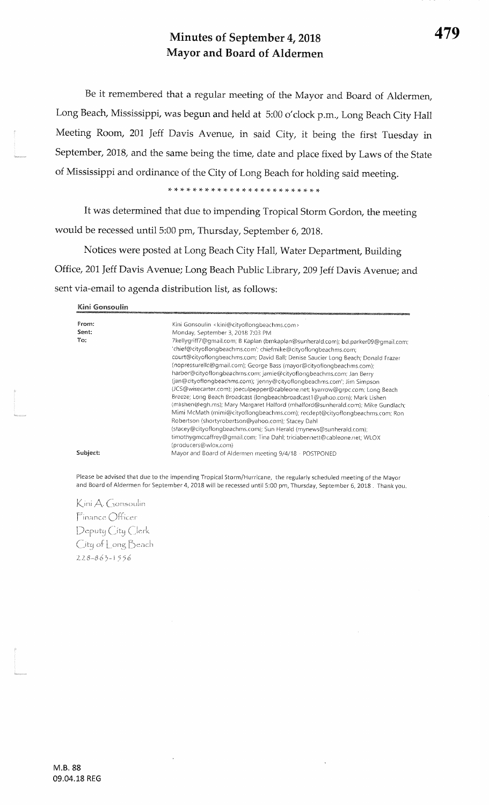## Minutes of September 4, 2018 Mayor and Board of Aldermen

Be it remembered that a regular meeting of the Mayor and Board of Aldermen, Long Beach, Mississippi, was begun and held at 5:00 o'clock p.m, Long Beach City HallMeeting Room, 201 Jeff Davis Avenue, in said City, it being the first Tuesday in September, 2018, and the same being the time, date and place fixed by Laws of the State of Mississippi and ordinance of the City of Long Beach for holding said meeting.

)F rF \* )t \* rr \* \* \* \* )F rt \* \* \* \* r(. {. \* + \* )F rT rF \*

It was determined that due to impending Tropical Storm Gordon, the meeting would be recessed until 5:00 pm, Thursday, September 6, 2018.

Notices were posted at Long Beach City Hall, Water Department, Building Office, 201 Jeff Davis Avenue; Long Beach Public Library, 209 Jeff Davis Avenue; and sent via-email to agenda distribution list, as follows:

Kini Gonsoulin

| From:    | Kini Gonsoulin <kini@cityoflongbeachms.com></kini@cityoflongbeachms.com>                                                                                                                                                                                                                                                                                                                                                                                                                                                                                                                                                                                                                                                                                                                                                                                                                                                                                                                                                                |
|----------|-----------------------------------------------------------------------------------------------------------------------------------------------------------------------------------------------------------------------------------------------------------------------------------------------------------------------------------------------------------------------------------------------------------------------------------------------------------------------------------------------------------------------------------------------------------------------------------------------------------------------------------------------------------------------------------------------------------------------------------------------------------------------------------------------------------------------------------------------------------------------------------------------------------------------------------------------------------------------------------------------------------------------------------------|
| Sent:    | Monday, September 3, 2018 7:03 PM                                                                                                                                                                                                                                                                                                                                                                                                                                                                                                                                                                                                                                                                                                                                                                                                                                                                                                                                                                                                       |
| To:      | 7kellygriff7@gmail.com; B Kaplan (bmkaplan@sunherald.com); bd.parker09@gmail.com;<br>'chief@cityoflongbeachms.com'; chiefmike@cityoflongbeachms.com;<br>court@cityoflongbeachms.com; David Ball; Denise Saucier Long Beach; Donald Frazer<br>(nopressurellc@gmail.com); George Bass (mayor@cityoflongbeachms.com);<br>harbor@cityoflongbeachms.com; jamie@cityoflongbeachms.com; Jan Berry<br>(jan@cityoflongbeachms.com); 'jenny@cityoflongbeachms.com'; Jim Simpson<br>(JCS@wisecarter.com); joeculpepper@cableone.net; kyarrow@grpc.com; Long Beach<br>Breeze; Long Beach Broadcast (longbeachbroadcast1@yahoo.com); Mark Lishen<br>(mlishen@egh.ms); Mary Margaret Halford (mhalford@sunherald.com); Mike Gundlach;<br>Mimi McMath (mimi@cityoflongbeachms.com); recdept@cityoflongbeachms.com; Ron<br>Robertson (shortyrobertson@yahoo.com); Stacey Dahl<br>(stacey@cityoflongbeachms.com); Sun Herald (mynews@sunherald.com);<br>timothygmccaffrey@gmail.com; Tina Dahl; triciabennett@cableone.net; WLOX<br>(producers@wlox.com) |
| Subject: | Mayor and Board of Aldermen meeting 9/4/18 - POSTPONED                                                                                                                                                                                                                                                                                                                                                                                                                                                                                                                                                                                                                                                                                                                                                                                                                                                                                                                                                                                  |

Please be advised that due to the impending Tropical Storm/Hurricane, the regularly scheduled meeting of the Mayor and Board of Aldermen for Septernber 4, 2018 will be recessed until 5:00 pm, Thursday, September 6, 2018 . Thank you.

Kini A. Gonsoulin Finance Officer Deputy City Clerk City of Long Beach 228-863-1556